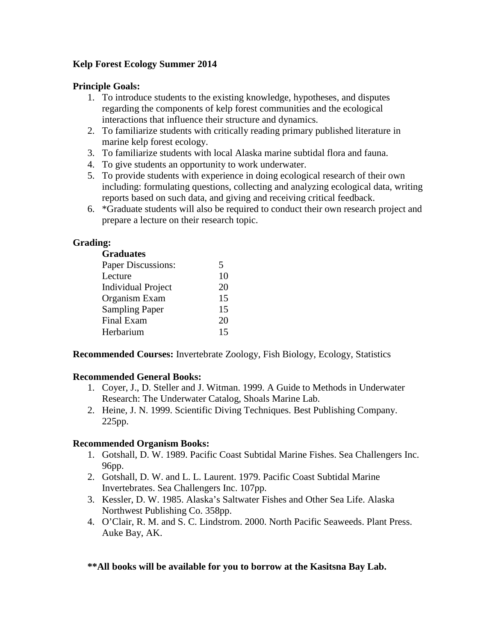# **Kelp Forest Ecology Summer 2014**

### **Principle Goals:**

- 1. To introduce students to the existing knowledge, hypotheses, and disputes regarding the components of kelp forest communities and the ecological interactions that influence their structure and dynamics.
- 2. To familiarize students with critically reading primary published literature in marine kelp forest ecology.
- 3. To familiarize students with local Alaska marine subtidal flora and fauna.
- 4. To give students an opportunity to work underwater.
- 5. To provide students with experience in doing ecological research of their own including: formulating questions, collecting and analyzing ecological data, writing reports based on such data, and giving and receiving critical feedback.
- 6. \*Graduate students will also be required to conduct their own research project and prepare a lecture on their research topic.

# **Grading:**

#### **Graduates**

| 5  |
|----|
| 10 |
| 20 |
| 15 |
| 15 |
| 20 |
| 15 |
|    |

**Recommended Courses:** Invertebrate Zoology, Fish Biology, Ecology, Statistics

### **Recommended General Books:**

- 1. Coyer, J., D. Steller and J. Witman. 1999. A Guide to Methods in Underwater Research: The Underwater Catalog, Shoals Marine Lab.
- 2. Heine, J. N. 1999. Scientific Diving Techniques. Best Publishing Company. 225pp.

### **Recommended Organism Books:**

- 1. Gotshall, D. W. 1989. Pacific Coast Subtidal Marine Fishes. Sea Challengers Inc. 96pp.
- 2. Gotshall, D. W. and L. L. Laurent. 1979. Pacific Coast Subtidal Marine Invertebrates. Sea Challengers Inc. 107pp.
- 3. Kessler, D. W. 1985. Alaska's Saltwater Fishes and Other Sea Life. Alaska Northwest Publishing Co. 358pp.
- 4. O'Clair, R. M. and S. C. Lindstrom. 2000. North Pacific Seaweeds. Plant Press. Auke Bay, AK.

### **\*\*All books will be available for you to borrow at the Kasitsna Bay Lab.**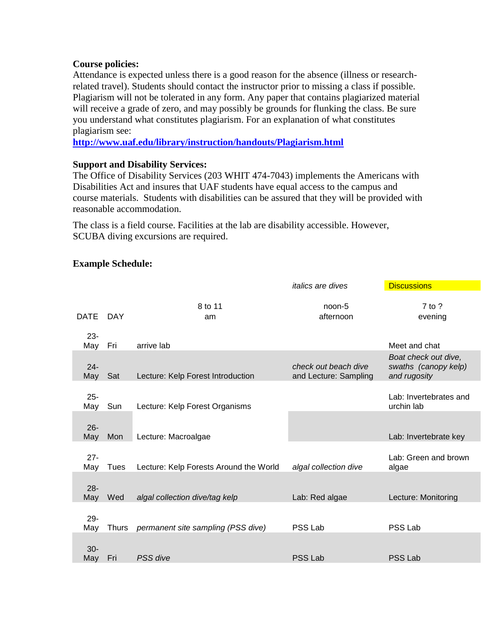#### **Course policies:**

Attendance is expected unless there is a good reason for the absence (illness or researchrelated travel). Students should contact the instructor prior to missing a class if possible. Plagiarism will not be tolerated in any form. Any paper that contains plagiarized material will receive a grade of zero, and may possibly be grounds for flunking the class. Be sure you understand what constitutes plagiarism. For an explanation of what constitutes plagiarism see:

**<http://www.uaf.edu/library/instruction/handouts/Plagiarism.html>**

### **Support and Disability Services:**

The Office of Disability Services (203 WHIT 474-7043) implements the Americans with Disabilities Act and insures that UAF students have equal access to the campus and course materials. Students with disabilities can be assured that they will be provided with reasonable accommodation.

The class is a field course. Facilities at the lab are disability accessible. However, SCUBA diving excursions are required.

## **Example Schedule:**

|               |              |                                        | <i>ralics are dives</i>                       | <b>DISCUSSIONS</b>                                           |
|---------------|--------------|----------------------------------------|-----------------------------------------------|--------------------------------------------------------------|
| <b>DATE</b>   | DAY          | 8 to 11<br>am                          | noon-5<br>afternoon                           | $7$ to ?<br>evening                                          |
| $23 -$<br>May | Fri          | arrive lab                             |                                               | Meet and chat                                                |
| $24 -$<br>May | Sat          | Lecture: Kelp Forest Introduction      | check out beach dive<br>and Lecture: Sampling | Boat check out dive,<br>swaths (canopy kelp)<br>and rugosity |
| $25 -$<br>May | Sun          | Lecture: Kelp Forest Organisms         |                                               | Lab: Invertebrates and<br>urchin lab                         |
| $26 -$<br>May | Mon          | Lecture: Macroalgae                    |                                               | Lab: Invertebrate key                                        |
| $27 -$<br>May | Tues         | Lecture: Kelp Forests Around the World | algal collection dive                         | Lab: Green and brown<br>algae                                |
| $28 -$<br>May | Wed          | algal collection dive/tag kelp         | Lab: Red algae                                | Lecture: Monitoring                                          |
| $29 -$<br>May | <b>Thurs</b> | permanent site sampling (PSS dive)     | PSS Lab                                       | PSS Lab                                                      |
| $30 -$<br>May | Fri          | PSS dive                               | PSS Lab                                       | <b>PSS Lab</b>                                               |

*italics are dives* Discussions